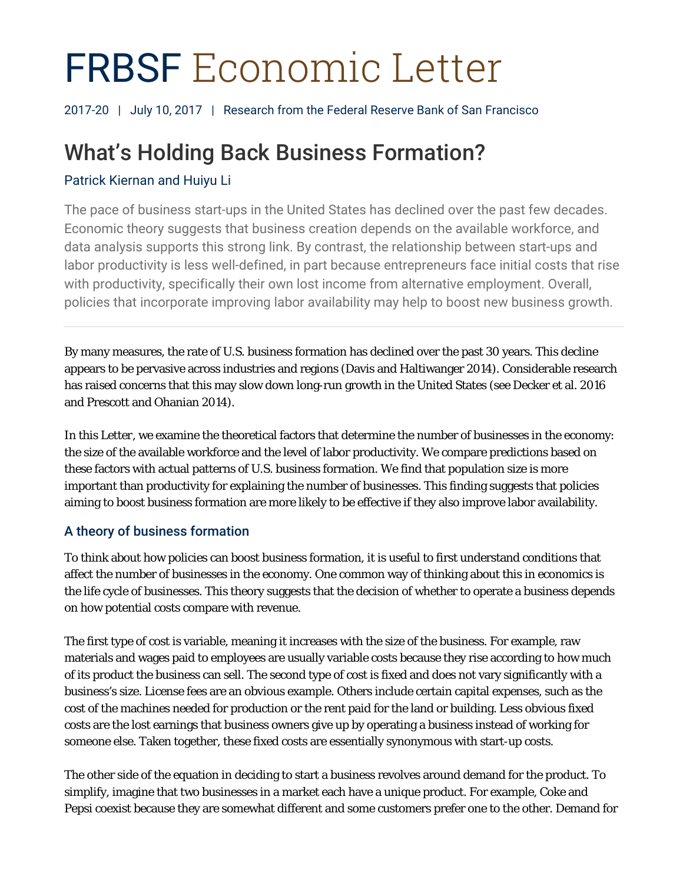# FRBSF Economic Letter

2017-20 | July 10, 2017 | Research from the Federal Reserve Bank of San Francisco

# What's Holding Back Business Formation?

# Patrick Kiernan and Huiyu Li

The pace of business start-ups in the United States has declined over the past few decades. Economic theory suggests that business creation depends on the available workforce, and data analysis supports this strong link. By contrast, the relationship between start-ups and labor productivity is less well-defined, in part because entrepreneurs face initial costs that rise with productivity, specifically their own lost income from alternative employment. Overall, policies that incorporate improving labor availability may help to boost new business growth.

By many measures, the rate of U.S. business formation has declined over the past 30 years. This decline appears to be pervasive across industries and regions (Davis and Haltiwanger 2014). Considerable research has raised concerns that this may slow down long-run growth in the United States (see Decker et al. 2016 and Prescott and Ohanian 2014).

In this *Letter*, we examine the theoretical factors that determine the number of businesses in the economy: the size of the available workforce and the level of labor productivity. We compare predictions based on these factors with actual patterns of U.S. business formation. We find that population size is more important than productivity for explaining the number of businesses. This finding suggests that policies aiming to boost business formation are more likely to be effective if they also improve labor availability.

# A theory of business formation

To think about how policies can boost business formation, it is useful to first understand conditions that affect the number of businesses in the economy. One common way of thinking about this in economics is the life cycle of businesses. This theory suggests that the decision of whether to operate a business depends on how potential costs compare with revenue.

The first type of cost is variable, meaning it increases with the size of the business. For example, raw materials and wages paid to employees are usually variable costs because they rise according to how much of its product the business can sell. The second type of cost is fixed and does not vary significantly with a business's size. License fees are an obvious example. Others include certain capital expenses, such as the cost of the machines needed for production or the rent paid for the land or building. Less obvious fixed costs are the lost earnings that business owners give up by operating a business instead of working for someone else. Taken together, these fixed costs are essentially synonymous with start-up costs.

The other side of the equation in deciding to start a business revolves around demand for the product. To simplify, imagine that two businesses in a market each have a unique product. For example, Coke and Pepsi coexist because they are somewhat different and some customers prefer one to the other. Demand for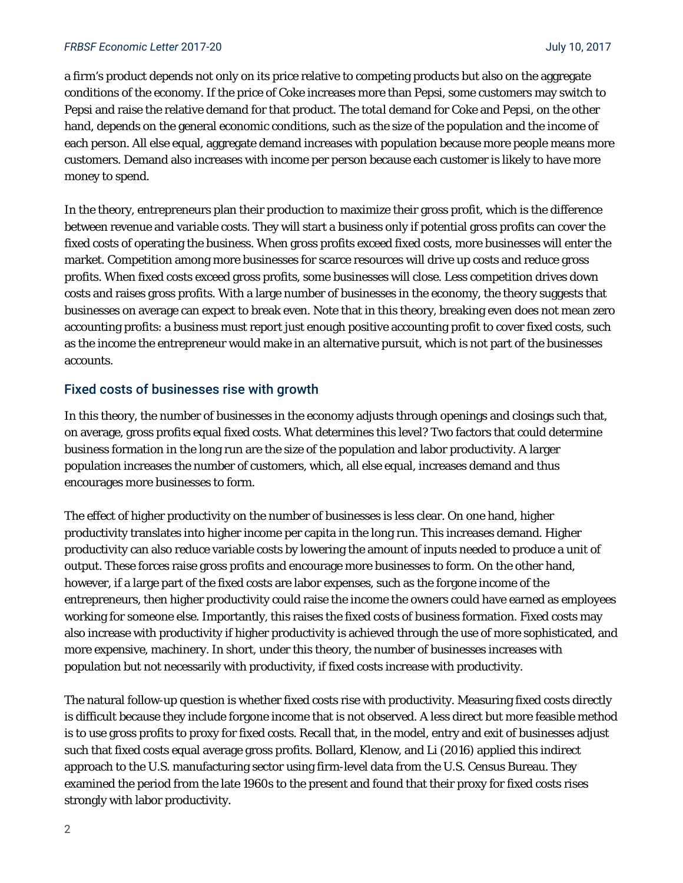a firm's product depends not only on its price relative to competing products but also on the aggregate conditions of the economy. If the price of Coke increases more than Pepsi, some customers may switch to Pepsi and raise the relative demand for that product. The *total* demand for Coke and Pepsi, on the other hand, depends on the general economic conditions, such as the size of the population and the income of each person. All else equal, aggregate demand increases with population because more people means more customers. Demand also increases with income per person because each customer is likely to have more money to spend.

In the theory, entrepreneurs plan their production to maximize their gross profit, which is the difference between revenue and variable costs. They will start a business only if potential gross profits can cover the fixed costs of operating the business. When gross profits exceed fixed costs, more businesses will enter the market. Competition among more businesses for scarce resources will drive up costs and reduce gross profits. When fixed costs exceed gross profits, some businesses will close. Less competition drives down costs and raises gross profits. With a large number of businesses in the economy, the theory suggests that businesses on average can expect to break even. Note that in this theory, breaking even does not mean zero accounting profits: a business must report just enough positive accounting profit to cover fixed costs, such as the income the entrepreneur would make in an alternative pursuit, which is not part of the businesses accounts.

## Fixed costs of businesses rise with growth

In this theory, the number of businesses in the economy adjusts through openings and closings such that, on average, gross profits equal fixed costs. What determines this level? Two factors that could determine business formation in the long run are the size of the population and labor productivity. A larger population increases the number of customers, which, all else equal, increases demand and thus encourages more businesses to form.

The effect of higher productivity on the number of businesses is less clear. On one hand, higher productivity translates into higher income per capita in the long run. This increases demand. Higher productivity can also reduce variable costs by lowering the amount of inputs needed to produce a unit of output. These forces raise gross profits and encourage more businesses to form. On the other hand, however, if a large part of the fixed costs are labor expenses, such as the forgone income of the entrepreneurs, then higher productivity could raise the income the owners could have earned as employees working for someone else. Importantly, this raises the fixed costs of business formation. Fixed costs may also increase with productivity if higher productivity is achieved through the use of more sophisticated, and more expensive, machinery. In short, under this theory, the number of businesses increases with population but not necessarily with productivity, if fixed costs increase with productivity.

The natural follow-up question is whether fixed costs rise with productivity. Measuring fixed costs directly is difficult because they include forgone income that is not observed. A less direct but more feasible method is to use gross profits to proxy for fixed costs. Recall that, in the model, entry and exit of businesses adjust such that fixed costs equal average gross profits. Bollard, Klenow, and Li (2016) applied this indirect approach to the U.S. manufacturing sector using firm-level data from the U.S. Census Bureau. They examined the period from the late 1960s to the present and found that their proxy for fixed costs rises strongly with labor productivity.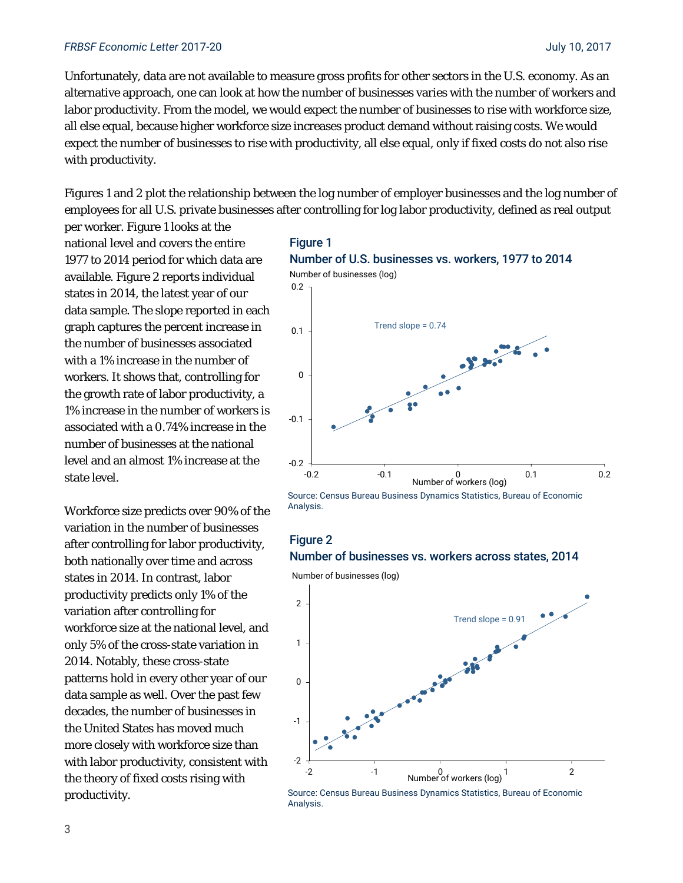Unfortunately, data are not available to measure gross profits for other sectors in the U.S. economy. As an alternative approach, one can look at how the number of businesses varies with the number of workers and labor productivity. From the model, we would expect the number of businesses to rise with workforce size, all else equal, because higher workforce size increases product demand without raising costs. We would expect the number of businesses to rise with productivity, all else equal, only if fixed costs do not also rise with productivity.

Figures 1 and 2 plot the relationship between the log number of employer businesses and the log number of employees for all U.S. private businesses after controlling for log labor productivity, defined as real output

per worker. Figure 1 looks at the national level and covers the entire 1977 to 2014 period for which data are available. Figure 2 reports individual states in 2014, the latest year of our data sample. The slope reported in each graph captures the percent increase in the number of businesses associated with a 1% increase in the number of workers. It shows that, controlling for the growth rate of labor productivity, a 1% increase in the number of workers is associated with a 0.74% increase in the number of businesses at the national level and an almost 1% increase at the state level.

Workforce size predicts over 90% of the variation in the number of businesses after controlling for labor productivity, both nationally over time and across states in 2014. In contrast, labor productivity predicts only 1% of the variation after controlling for workforce size at the national level, and only 5% of the cross-state variation in 2014. Notably, these cross-state patterns hold in every other year of our data sample as well. Over the past few decades, the number of businesses in the United States has moved much more closely with workforce size than with labor productivity, consistent with the theory of fixed costs rising with productivity.





## Figure 2 Number of businesses vs. workers across states, 2014

Number of businesses (log)



Source: Census Bureau Business Dynamics Statistics, Bureau of Economic Analysis.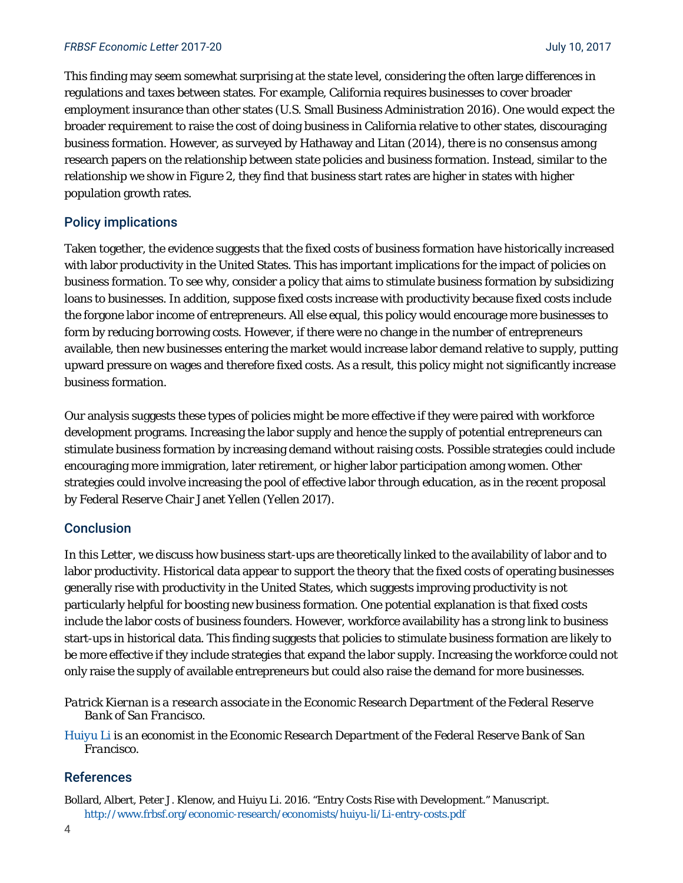#### *FRBSF Economic Letter* 2017-20 July 10, 2017

This finding may seem somewhat surprising at the state level, considering the often large differences in regulations and taxes between states. For example, California requires businesses to cover broader employment insurance than other states (U.S. Small Business Administration 2016). One would expect the broader requirement to raise the cost of doing business in California relative to other states, discouraging business formation. However, as surveyed by Hathaway and Litan (2014), there is no consensus among research papers on the relationship between state policies and business formation. Instead, similar to the relationship we show in Figure 2, they find that business start rates are higher in states with higher population growth rates.

#### Policy implications

Taken together, the evidence suggests that the fixed costs of business formation have historically increased with labor productivity in the United States. This has important implications for the impact of policies on business formation. To see why, consider a policy that aims to stimulate business formation by subsidizing loans to businesses. In addition, suppose fixed costs increase with productivity because fixed costs include the forgone labor income of entrepreneurs. All else equal, this policy would encourage more businesses to form by reducing borrowing costs. However, if there were no change in the number of entrepreneurs available, then new businesses entering the market would increase labor demand relative to supply, putting upward pressure on wages and therefore fixed costs. As a result, this policy might not significantly increase business formation.

Our analysis suggests these types of policies might be more effective if they were paired with workforce development programs. Increasing the labor supply and hence the supply of potential entrepreneurs can stimulate business formation by increasing demand without raising costs. Possible strategies could include encouraging more immigration, later retirement, or higher labor participation among women. Other strategies could involve increasing the pool of effective labor through education, as in the recent proposal by Federal Reserve Chair Janet Yellen (Yellen 2017).

#### **Conclusion**

In this *Letter*, we discuss how business start-ups are theoretically linked to the availability of labor and to labor productivity. Historical data appear to support the theory that the fixed costs of operating businesses generally rise with productivity in the United States, which suggests improving productivity is not particularly helpful for boosting new business formation. One potential explanation is that fixed costs include the labor costs of business founders. However, workforce availability has a strong link to business start-ups in historical data. This finding suggests that policies to stimulate business formation are likely to be more effective if they include strategies that expand the labor supply. Increasing the workforce could not only raise the supply of available entrepreneurs but could also raise the demand for more businesses.

*Patrick Kiernan is a research associate in the Economic Research Department of the Federal Reserve Bank of San Francisco.* 

*[Huiyu Li is](http://www.frbsf.org/economic-research/economists/huiyu-li/) an economist in the Economic Research Department of the Federal Reserve Bank of San Francisco.* 

#### References

Bollard, Albert, Peter J. Klenow, and Huiyu Li. 2016. "Entry Costs Rise with Development." Manuscript. http://www.frbsf.org/economic-research/economists/huiyu-li/Li-entry-costs.pdf